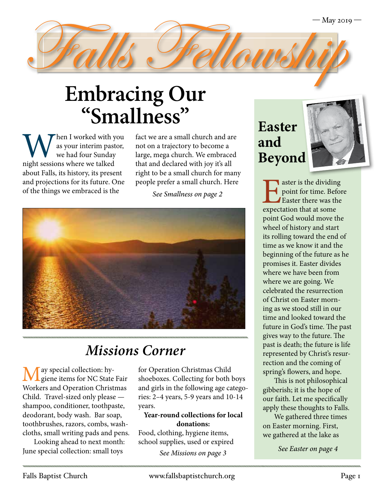

When I worked with you<br>
as your interim pastor,<br>
we had four Sunday<br>
night sessions where we talked as your interim pastor, we had four Sunday about Falls, its history, its present and projections for its future. One of the things we embraced is the

fact we are a small church and are not on a trajectory to become a large, mega church. We embraced that and declared with joy it's all right to be a small church for many people prefer a small church. Here

*See Smallness on page 2*



### *Missions Corner*

May special collection: hy-giene items for NC State Fair Workers and Operation Christmas Child. Travel-sized only please shampoo, conditioner, toothpaste, deodorant, body wash. Bar soap, toothbrushes, razors, combs, washcloths, small writing pads and pens.

Looking ahead to next month: June special collection: small toys

for Operation Christmas Child shoeboxes. Collecting for both boys and girls in the following age categories: 2–4 years, 5-9 years and 10-14 years.

#### **Year-round collections for local donations:**

Food, clothing, hygiene items, school supplies, used or expired

*See Missions on page 3*

## **Easter and Beyond**



laster is the dividing point for time. Before Easter there was the expectation that at some point God would move the wheel of history and start its rolling toward the end of time as we know it and the beginning of the future as he promises it. Easter divides where we have been from where we are going. We celebrated the resurrection of Christ on Easter morning as we stood still in our time and looked toward the future in God's time. The past gives way to the future. The past is death; the future is life represented by Christ's resurrection and the coming of spring's flowers, and hope.

This is not philosophical gibberish; it is the hope of our faith. Let me specifically apply these thoughts to Falls.

We gathered three times on Easter morning. First, we gathered at the lake as

*See Easter on page 4*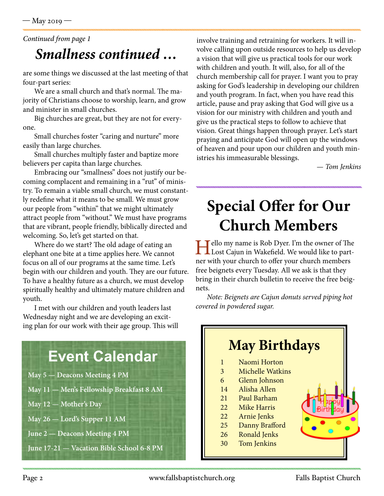#### *Smallness continued … Continued from page 1*

are some things we discussed at the last meeting of that four-part series:

We are a small church and that's normal. The majority of Christians choose to worship, learn, and grow and minister in small churches.

Big churches are great, but they are not for everyone.

Small churches foster "caring and nurture" more easily than large churches.

Small churches multiply faster and baptize more believers per capita than large churches.

Embracing our "smallness" does not justify our becoming complacent and remaining in a "rut" of ministry. To remain a viable small church, we must constantly redefine what it means to be small. We must grow our people from "within" that we might ultimately attract people from "without." We must have programs that are vibrant, people friendly, biblically directed and welcoming. So, let's get started on that.

Where do we start? The old adage of eating an elephant one bite at a time applies here. We cannot focus on all of our programs at the same time. Let's begin with our children and youth. They are our future. To have a healthy future as a church, we must develop spiritually healthy and ultimately mature children and youth.

I met with our children and youth leaders last Wednesday night and we are developing an exciting plan for our work with their age group. This will

### **Event Calendar**

- **May 5 Deacons Meeting 4 PM**
- **May 11 Men's Fellowship Breakfast 8 AM**
- **May 12 Mother's Day**
- **May 26 Lord's Supper 11 AM**
- **June 2 Deacons Meeting 4 PM**
- **June 17-21 Vacation Bible School 6-8 PM**

involve training and retraining for workers. It will involve calling upon outside resources to help us develop a vision that will give us practical tools for our work with children and youth. It will, also, for all of the church membership call for prayer. I want you to pray asking for God's leadership in developing our children and youth program. In fact, when you have read this article, pause and pray asking that God will give us a vision for our ministry with children and youth and give us the practical steps to follow to achieve that vision. Great things happen through prayer. Let's start praying and anticipate God will open up the windows of heaven and pour upon our children and youth ministries his immeasurable blessings.

*— Tom Jenkins*

# **Special Offer for Our Church Members**

Hello my name is Rob Dyer. I'm the owner of The Lost Cajun in Wakefield. We would like to partner with your church to offer your church members free beignets every Tuesday. All we ask is that they bring in their church bulletin to receive the free beignets.

*Note: Beignets are Cajun donuts served piping hot covered in powdered sugar.*

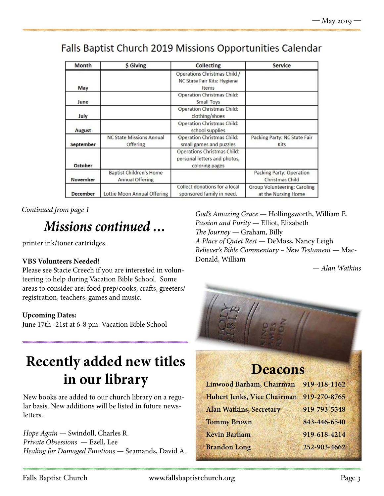#### Falls Baptist Church 2019 Missions Opportunities Calendar

| Month           | <b>S</b> Giving                                          | Collecting                                                                           | Service                                             |
|-----------------|----------------------------------------------------------|--------------------------------------------------------------------------------------|-----------------------------------------------------|
| May             |                                                          | Operations Christmas Child /<br>NC State Fair Kits: Hygiene<br>Items                 |                                                     |
| June            |                                                          | <b>Operation Christmas Child:</b><br><b>Small Toys</b>                               |                                                     |
| July            |                                                          | <b>Operation Christmas Child:</b><br>clothing/shoes                                  |                                                     |
| August          |                                                          | <b>Operation Christmas Child:</b><br>school supplies                                 |                                                     |
| September       | <b>NC State Missions Annual</b><br>Offering              | Operation Christmas Child:<br>small games and puzzles                                | Packing Party: NC State Fair<br>Kits                |
| October         |                                                          | <b>Operations Christmas Child:</b><br>personal letters and photos,<br>coloring pages |                                                     |
| November        | <b>Baptist Children's Home</b><br><b>Annual Offering</b> |                                                                                      | Packing Party: Operation<br><b>Christmas Child</b>  |
| <b>December</b> | Lottie Moon Annual Offering                              | Collect donations for a local<br>sponsored family in need.                           | Group Volunteering: Caroling<br>at the Nursing Home |

*Continued from page 1*

## *Missions continued …*

printer ink/toner cartridges.

#### **VBS Volunteers Needed!**

Please see Stacie Creech if you are interested in volunteering to help during Vacation Bible School. Some areas to consider are: food prep/cooks, crafts, greeters/ registration, teachers, games and music.

#### **Upcoming Dates:**

June 17th -21st at 6-8 pm: Vacation Bible School

## **Recently added new titles in our library**

New books are added to our church library on a regular basis. New additions will be listed in future newsletters.

*Hope Again* — Swindoll, Charles R. *Private Obsessions* — Ezell, Lee *Healing for Damaged Emotions* — Seamands, David A.

*God's Amazing Grace* — Hollingsworth, William E. *Passion and Purity* — Elliot, Elizabeth *The Journey* — Graham, Billy *A Place of Quiet Rest* — DeMoss, Nancy Leigh *Believer's Bible Commentary – New Testament* — Mac-Donald, William

*— Alan Watkins*



#### **Deacons**

| 919-418-1162 |
|--------------|
| 919-270-8765 |
| 919-793-5548 |
| 843-446-6540 |
| 919-618-4214 |
| 252-903-4662 |
|              |